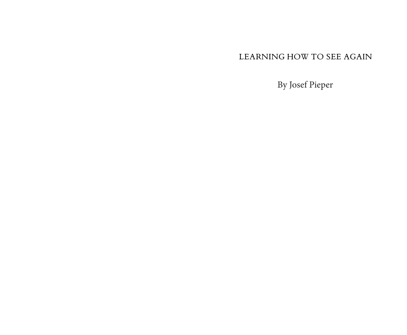## LEARNING HOW TO SEE AGAIN

By Josef Pieper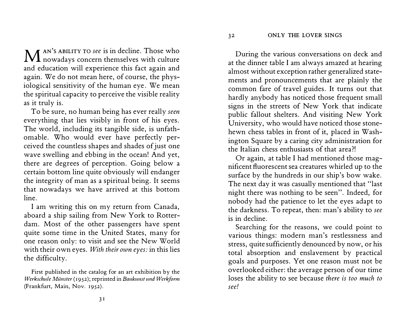32 ONLY THE LOVER SINGS

 $\bf M$  an's ability to see is in decline. Those who nowadays concern themselves with culture  $\Lambda$  AN's ABILITY TO see is in decline. Those who and education will experience this fact again and again. We do not mean here, of course, the physiological sensitivity of the human eye. We mean the spiritual capacity to perceive the visible reality as it truly is.

To be sure, no human being has ever really seen everything that lies visibly in front of his eyes. The world, including its tangible side, is unfathomable. Who. would ever have perfectly perceived the countless shapes and shades of just one wave swelling and ebbing in the ocean! And yet, there are degrees of perception. Going below a certain bottom line quite obviously will endanger the integrity of man as a spiritual being. It seems that nowadays we have arrived at this bottom line.

I am writing this on my return from Canada, aboard a ship sailing from New York to Rotterdam. Most of the other passengers have spent quite some time in the United States, many for one reason only: to visit and see the New World with their own eyes. With their own eyes: in this lies the difficulty.

First published in the catalog for an art exhibition by the Werkschule Münster (1952); reprinted in Baukunst und Werkform (Frankfurt, Main, Nov. 1952).

During the various conversations on deck and at the dinner table I am always amazed at hearing almost without exception rather generalized statements and pronouncements that are plainly the common fare of travel guides. It turns out that hardly anybody has noticed those frequent small signs in the streets of New York that indicate public fallout shelters. And visiting New York University, who would have noticed those stonehewn chess tables in front of it, placed in Washington Square by a caring city administration for the Italian chess enthusiasts of that area?!

Or again, at table I had mentioned those magnificent fluorescent sea creatures whirled up to the surface by the hundreds in our ship's bow wake. The next day it was casually mentioned that "last night there was nothing to be seen". Indeed, for nobody had the patience to let the eyes adapt to the darkness. To repeat, then: man's ability to see is in decline.

Searching for the reasons, we could point to various things: modern man's restlessness and stress, quite sufficiently denounced by now, or his total absorption and enslavement by practical goals and purposes. Yet one reason must not be overlooked either: the average person of our time loses the ability to see because there is too much to see!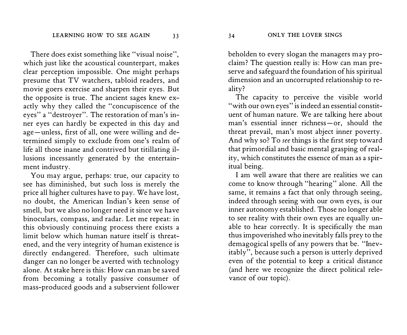There does exist something like "visual noise", which just like the acoustical counterpart, makes clear perception impossible. One might perhaps presume that TV watchers, tabloid readers, and movie goers exercise and sharpen their eyes. But the opposite is true. The ancient sages knew exactly why they called the "concupiscence of the eyes" a "destroyer". The restoration of man's inner eyes can hardly be expected in this day and age-unless, first of all, one were willing and determined simply to exclude from one's realm of life all those inane and contrived but titillating illusions incessantly generated by the entertainment industry.

You may argue, perhaps: true, our capacity to see has diminished, but such loss is merely the price all higher cultures have to pay. We have lost, no doubt, the American Indian's keen sense of smell, but we also no longer need it since we have binoculars, compass, and radar. Let me repeat: in this obviously continuing process there exists a limit below which human nature itself is threatened, and the very integrity of human existence is directly endangered. Therefore, such ultimate danger can no longer be averted with technology alone. At stake here is this: How can man be saved from becoming a totally passive consumer of mass-produced goods and a subservient follower

beholden to every slogan the managers may proclaim? The question really is: How can man preserve and safeguard the foundation of his spiritual dimension and an uncorrupted relationship to reality?

The capacity to perceive the visible world "with our own eyes" is indeed an essential constituent of human nature. We are talking here about man's essential inner richness-or, should the threat prevail, man's most abject inner poverty. And why so? To see things is the first step toward that primordial and basic mental grasping of reality, which constitutes the essence of man as a spiritual being.

I am well aware that there are realities we can come to know through "hearing" alone. All the same, it remains a fact that only through seeing, indeed through seeing with our own eyes, is our inner autonomy established. Those no longer able to see reality with their own eyes are equally unable to hear correctly. It is specifically the man thus impoverished who inevitably falls prey to the demagogical spells of any powers that be. "Inevitably", because such a person is utterly deprived even of the potential to keep a critical distance (and here we recognize the direct political relevance of our topic).